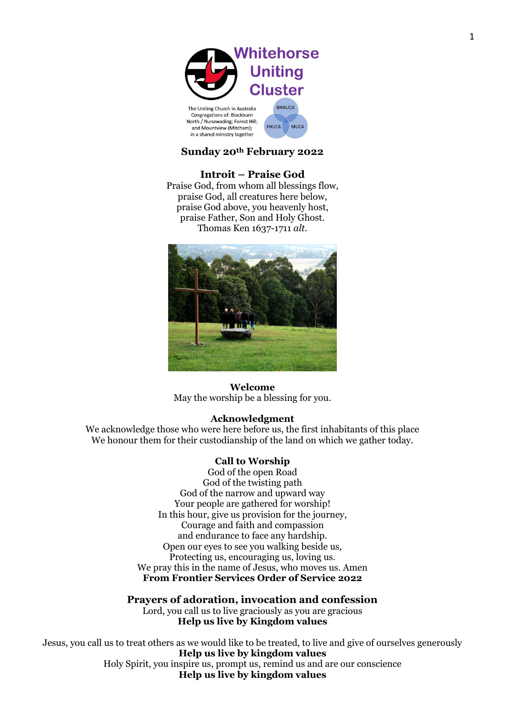

FHUCA MUCA

## **Sunday 20th February 2022**

## **Introit – Praise God**

Praise God, from whom all blessings flow, praise God, all creatures here below, praise God above, you heavenly host, praise Father, Son and Holy Ghost. Thomas Ken 1637-1711 *alt.*



## **Welcome**

May the worship be a blessing for you.

## **Acknowledgment**

We acknowledge those who were here before us, the first inhabitants of this place We honour them for their custodianship of the land on which we gather today.

#### **Call to Worship**

God of the open Road God of the twisting path God of the narrow and upward way Your people are gathered for worship! In this hour, give us provision for the journey, Courage and faith and compassion and endurance to face any hardship. Open our eyes to see you walking beside us, Protecting us, encouraging us, loving us. We pray this in the name of Jesus, who moves us. Amen **From Frontier Services Order of Service 2022**

**Prayers of adoration, invocation and confession** Lord, you call us to live graciously as you are gracious **Help us live by Kingdom values**

Jesus, you call us to treat others as we would like to be treated, to live and give of ourselves generously **Help us live by kingdom values** Holy Spirit, you inspire us, prompt us, remind us and are our conscience **Help us live by kingdom values**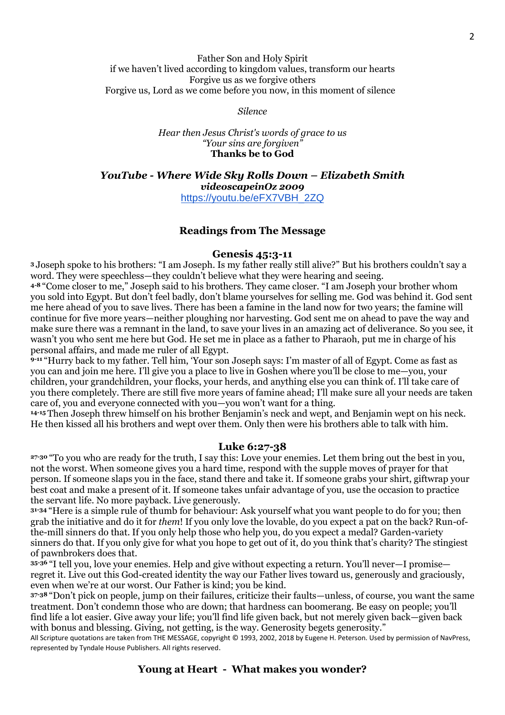## Father Son and Holy Spirit if we haven't lived according to kingdom values, transform our hearts Forgive us as we forgive others Forgive us, Lord as we come before you now, in this moment of silence

*Silence* 

*Hear then Jesus Christ's words of grace to us "Your sins are forgiven"* **Thanks be to God**

*YouTube - Where Wide Sky Rolls Down – Elizabeth Smith videoscapeinOz 2009* [https://youtu.be/eFX7VBH\\_2ZQ](https://youtu.be/eFX7VBH_2ZQ)

## **Readings from The Message**

#### **Genesis 45:3-11**

**<sup>3</sup>** Joseph spoke to his brothers: "I am Joseph. Is my father really still alive?" But his brothers couldn't say a word. They were speechless—they couldn't believe what they were hearing and seeing.

**4-8** "Come closer to me," Joseph said to his brothers. They came closer. "I am Joseph your brother whom you sold into Egypt. But don't feel badly, don't blame yourselves for selling me. God was behind it. God sent me here ahead of you to save lives. There has been a famine in the land now for two years; the famine will continue for five more years—neither ploughing nor harvesting. God sent me on ahead to pave the way and make sure there was a remnant in the land, to save your lives in an amazing act of deliverance. So you see, it wasn't you who sent me here but God. He set me in place as a father to Pharaoh, put me in charge of his personal affairs, and made me ruler of all Egypt.

**9-11** "Hurry back to my father. Tell him, 'Your son Joseph says: I'm master of all of Egypt. Come as fast as you can and join me here. I'll give you a place to live in Goshen where you'll be close to me—you, your children, your grandchildren, your flocks, your herds, and anything else you can think of. I'll take care of you there completely. There are still five more years of famine ahead; I'll make sure all your needs are taken care of, you and everyone connected with you—you won't want for a thing.

**14-15** Then Joseph threw himself on his brother Benjamin's neck and wept, and Benjamin wept on his neck. He then kissed all his brothers and wept over them. Only then were his brothers able to talk with him.

## **Luke 6:27-38**

**27-30** "To you who are ready for the truth, I say this: Love your enemies. Let them bring out the best in you, not the worst. When someone gives you a hard time, respond with the supple moves of prayer for that person. If someone slaps you in the face, stand there and take it. If someone grabs your shirt, giftwrap your best coat and make a present of it. If someone takes unfair advantage of you, use the occasion to practice the servant life. No more payback. Live generously.

**31-34** "Here is a simple rule of thumb for behaviour: Ask yourself what you want people to do for you; then grab the initiative and do it for *them*! If you only love the lovable, do you expect a pat on the back? Run-ofthe-mill sinners do that. If you only help those who help you, do you expect a medal? Garden-variety sinners do that. If you only give for what you hope to get out of it, do you think that's charity? The stingiest of pawnbrokers does that.

**35-36** "I tell you, love your enemies. Help and give without expecting a return. You'll never—I promise regret it. Live out this God-created identity the way our Father lives toward us, generously and graciously, even when we're at our worst. Our Father is kind; you be kind.

**37-38** "Don't pick on people, jump on their failures, criticize their faults—unless, of course, you want the same treatment. Don't condemn those who are down; that hardness can boomerang. Be easy on people; you'll find life a lot easier. Give away your life; you'll find life given back, but not merely given back—given back with bonus and blessing. Giving, not getting, is the way. Generosity begets generosity."

All Scripture quotations are taken from THE MESSAGE, copyright © 1993, 2002, 2018 by Eugene H. Peterson. Used by permission of NavPress, represented by Tyndale House Publishers. All rights reserved.

## **Young at Heart - What makes you wonder?**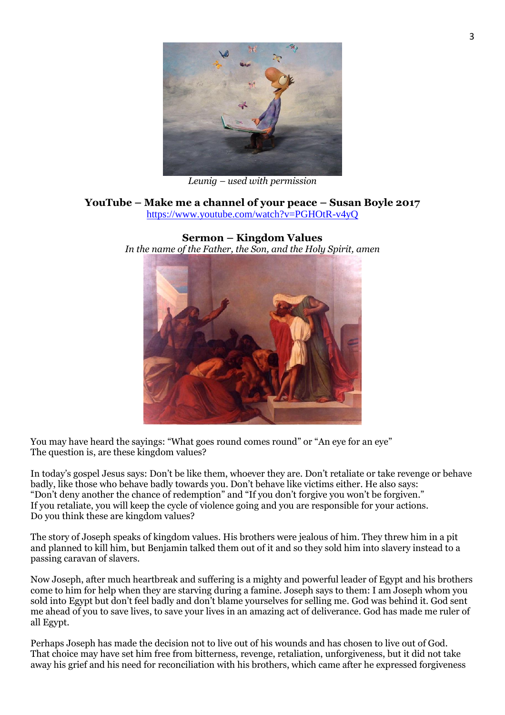

*Leunig – used with permission*

# **YouTube – Make me a channel of your peace – Susan Boyle 2017**

<https://www.youtube.com/watch?v=PGHOtR-v4yQ>



**Sermon – Kingdom Values** *In the name of the Father, the Son, and the Holy Spirit, amen* 

You may have heard the sayings: "What goes round comes round" or "An eye for an eye" The question is, are these kingdom values?

In today's gospel Jesus says: Don't be like them, whoever they are. Don't retaliate or take revenge or behave badly, like those who behave badly towards you. Don't behave like victims either. He also says: "Don't deny another the chance of redemption" and "If you don't forgive you won't be forgiven." If you retaliate, you will keep the cycle of violence going and you are responsible for your actions. Do you think these are kingdom values?

The story of Joseph speaks of kingdom values. His brothers were jealous of him. They threw him in a pit and planned to kill him, but Benjamin talked them out of it and so they sold him into slavery instead to a passing caravan of slavers.

Now Joseph, after much heartbreak and suffering is a mighty and powerful leader of Egypt and his brothers come to him for help when they are starving during a famine. Joseph says to them: I am Joseph whom you sold into Egypt but don't feel badly and don't blame yourselves for selling me. God was behind it. God sent me ahead of you to save lives, to save your lives in an amazing act of deliverance. God has made me ruler of all Egypt.

Perhaps Joseph has made the decision not to live out of his wounds and has chosen to live out of God. That choice may have set him free from bitterness, revenge, retaliation, unforgiveness, but it did not take away his grief and his need for reconciliation with his brothers, which came after he expressed forgiveness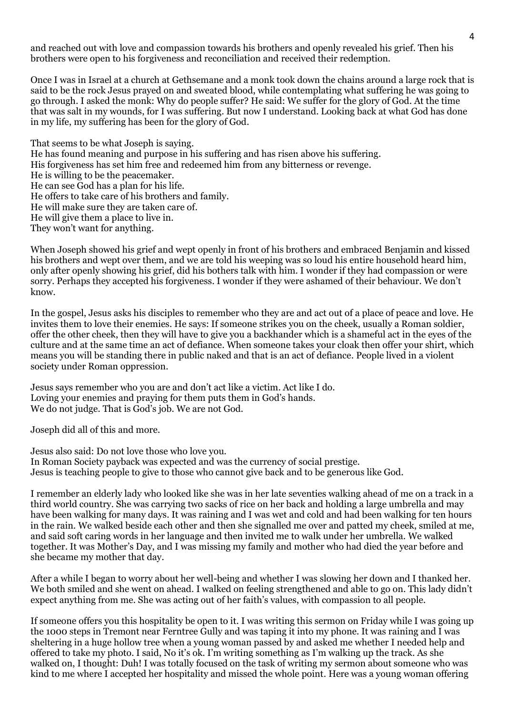and reached out with love and compassion towards his brothers and openly revealed his grief. Then his brothers were open to his forgiveness and reconciliation and received their redemption.

Once I was in Israel at a church at Gethsemane and a monk took down the chains around a large rock that is said to be the rock Jesus prayed on and sweated blood, while contemplating what suffering he was going to go through. I asked the monk: Why do people suffer? He said: We suffer for the glory of God. At the time that was salt in my wounds, for I was suffering. But now I understand. Looking back at what God has done in my life, my suffering has been for the glory of God.

That seems to be what Joseph is saying. He has found meaning and purpose in his suffering and has risen above his suffering. His forgiveness has set him free and redeemed him from any bitterness or revenge. He is willing to be the peacemaker. He can see God has a plan for his life. He offers to take care of his brothers and family. He will make sure they are taken care of. He will give them a place to live in. They won't want for anything.

When Joseph showed his grief and wept openly in front of his brothers and embraced Benjamin and kissed his brothers and wept over them, and we are told his weeping was so loud his entire household heard him, only after openly showing his grief, did his bothers talk with him. I wonder if they had compassion or were sorry. Perhaps they accepted his forgiveness. I wonder if they were ashamed of their behaviour. We don't know.

In the gospel, Jesus asks his disciples to remember who they are and act out of a place of peace and love. He invites them to love their enemies. He says: If someone strikes you on the cheek, usually a Roman soldier, offer the other cheek, then they will have to give you a backhander which is a shameful act in the eyes of the culture and at the same time an act of defiance. When someone takes your cloak then offer your shirt, which means you will be standing there in public naked and that is an act of defiance. People lived in a violent society under Roman oppression.

Jesus says remember who you are and don't act like a victim. Act like I do. Loving your enemies and praying for them puts them in God's hands. We do not judge. That is God's job. We are not God.

Joseph did all of this and more.

Jesus also said: Do not love those who love you. In Roman Society payback was expected and was the currency of social prestige. Jesus is teaching people to give to those who cannot give back and to be generous like God.

I remember an elderly lady who looked like she was in her late seventies walking ahead of me on a track in a third world country. She was carrying two sacks of rice on her back and holding a large umbrella and may have been walking for many days. It was raining and I was wet and cold and had been walking for ten hours in the rain. We walked beside each other and then she signalled me over and patted my cheek, smiled at me, and said soft caring words in her language and then invited me to walk under her umbrella. We walked together. It was Mother's Day, and I was missing my family and mother who had died the year before and she became my mother that day.

After a while I began to worry about her well-being and whether I was slowing her down and I thanked her. We both smiled and she went on ahead. I walked on feeling strengthened and able to go on. This lady didn't expect anything from me. She was acting out of her faith's values, with compassion to all people.

If someone offers you this hospitality be open to it. I was writing this sermon on Friday while I was going up the 1000 steps in Tremont near Ferntree Gully and was taping it into my phone. It was raining and I was sheltering in a huge hollow tree when a young woman passed by and asked me whether I needed help and offered to take my photo. I said, No it's ok. I'm writing something as I'm walking up the track. As she walked on, I thought: Duh! I was totally focused on the task of writing my sermon about someone who was kind to me where I accepted her hospitality and missed the whole point. Here was a young woman offering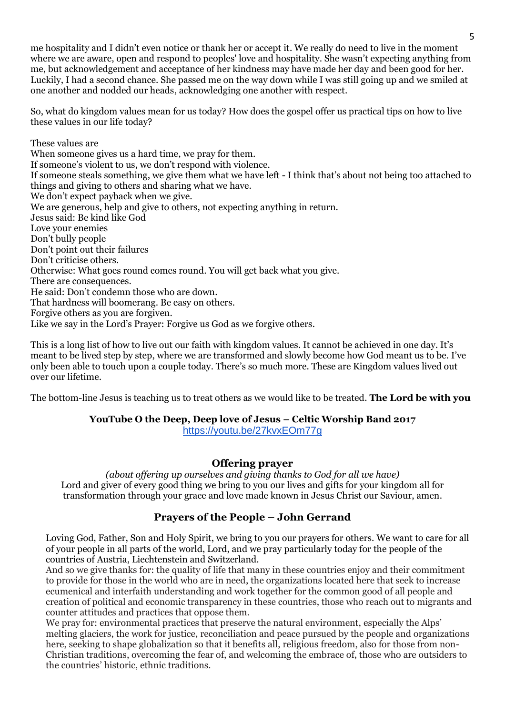me hospitality and I didn't even notice or thank her or accept it. We really do need to live in the moment where we are aware, open and respond to peoples' love and hospitality. She wasn't expecting anything from me, but acknowledgement and acceptance of her kindness may have made her day and been good for her. Luckily, I had a second chance. She passed me on the way down while I was still going up and we smiled at one another and nodded our heads, acknowledging one another with respect.

So, what do kingdom values mean for us today? How does the gospel offer us practical tips on how to live these values in our life today?

These values are When someone gives us a hard time, we pray for them. If someone's violent to us, we don't respond with violence. If someone steals something, we give them what we have left - I think that's about not being too attached to things and giving to others and sharing what we have. We don't expect payback when we give. We are generous, help and give to others, not expecting anything in return. Jesus said: Be kind like God Love your enemies Don't bully people Don't point out their failures Don't criticise others. Otherwise: What goes round comes round. You will get back what you give. There are consequences. He said: Don't condemn those who are down. That hardness will boomerang. Be easy on others. Forgive others as you are forgiven. Like we say in the Lord's Prayer: Forgive us God as we forgive others.

This is a long list of how to live out our faith with kingdom values. It cannot be achieved in one day. It's meant to be lived step by step, where we are transformed and slowly become how God meant us to be. I've only been able to touch upon a couple today. There's so much more. These are Kingdom values lived out over our lifetime.

The bottom-line Jesus is teaching us to treat others as we would like to be treated. **The Lord be with you** 

# **YouTube O the Deep, Deep love of Jesus – Celtic Worship Band 2017**

<https://youtu.be/27kvxEOm77g>

## **Offering prayer**

*(about offering up ourselves and giving thanks to God for all we have)* Lord and giver of every good thing we bring to you our lives and gifts for your kingdom all for transformation through your grace and love made known in Jesus Christ our Saviour, amen.

## **Prayers of the People – John Gerrand**

Loving God, Father, Son and Holy Spirit, we bring to you our prayers for others. We want to care for all of your people in all parts of the world, Lord, and we pray particularly today for the people of the countries of Austria, Liechtenstein and Switzerland.

And so we give thanks for: the quality of life that many in these countries enjoy and their commitment to provide for those in the world who are in need, the organizations located here that seek to increase ecumenical and interfaith understanding and work together for the common good of all people and creation of political and economic transparency in these countries, those who reach out to migrants and counter attitudes and practices that oppose them.

We pray for: environmental practices that preserve the natural environment, especially the Alps' melting glaciers, the work for justice, reconciliation and peace pursued by the people and organizations here, seeking to shape globalization so that it benefits all, religious freedom, also for those from non-Christian traditions, overcoming the fear of, and welcoming the embrace of, those who are outsiders to the countries' historic, ethnic traditions.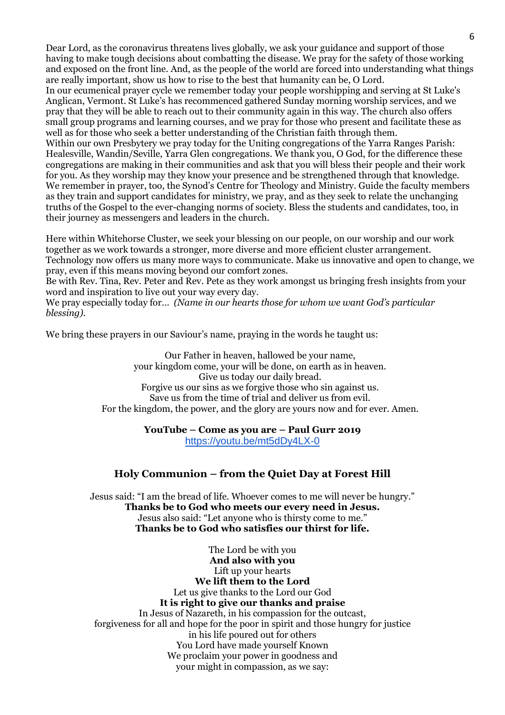Dear Lord, as the coronavirus threatens lives globally, we ask your guidance and support of those having to make tough decisions about combatting the disease. We pray for the safety of those working and exposed on the front line. And, as the people of the world are forced into understanding what things are really important, show us how to rise to the best that humanity can be, O Lord.

In our ecumenical prayer cycle we remember today your people worshipping and serving at St Luke's Anglican, Vermont. St Luke's has recommenced gathered Sunday morning worship services, and we pray that they will be able to reach out to their community again in this way. The church also offers small group programs and learning courses, and we pray for those who present and facilitate these as well as for those who seek a better understanding of the Christian faith through them. Within our own Presbytery we pray today for the Uniting congregations of the Yarra Ranges Parish: Healesville, Wandin/Seville, Yarra Glen congregations. We thank you, O God, for the difference these congregations are making in their communities and ask that you will bless their people and their work

for you. As they worship may they know your presence and be strengthened through that knowledge. We remember in prayer, too, the Synod's Centre for Theology and Ministry. Guide the faculty members as they train and support candidates for ministry, we pray, and as they seek to relate the unchanging truths of the Gospel to the ever-changing norms of society. Bless the students and candidates, too, in their journey as messengers and leaders in the church.

Here within Whitehorse Cluster, we seek your blessing on our people, on our worship and our work together as we work towards a stronger, more diverse and more efficient cluster arrangement. Technology now offers us many more ways to communicate. Make us innovative and open to change, we pray, even if this means moving beyond our comfort zones.

Be with Rev. Tina, Rev. Peter and Rev. Pete as they work amongst us bringing fresh insights from your word and inspiration to live out your way every day.

We pray especially today for… *(Name in our hearts those for whom we want God's particular blessing).*

We bring these prayers in our Saviour's name, praying in the words he taught us:

Our Father in heaven, hallowed be your name, your kingdom come, your will be done, on earth as in heaven. Give us today our daily bread. Forgive us our sins as we forgive those who sin against us. Save us from the time of trial and deliver us from evil. For the kingdom, the power, and the glory are yours now and for ever. Amen.

## **YouTube – Come as you are – Paul Gurr 2019** <https://youtu.be/mt5dDy4LX-0>

## **Holy Communion – from the Quiet Day at Forest Hill**

Jesus said: "I am the bread of life. Whoever comes to me will never be hungry." **Thanks be to God who meets our every need in Jesus.** Jesus also said: "Let anyone who is thirsty come to me." **Thanks be to God who satisfies our thirst for life.**

The Lord be with you **And also with you** Lift up your hearts **We lift them to the Lord** Let us give thanks to the Lord our God **It is right to give our thanks and praise** In Jesus of Nazareth, in his compassion for the outcast, forgiveness for all and hope for the poor in spirit and those hungry for justice in his life poured out for others You Lord have made yourself Known We proclaim your power in goodness and your might in compassion, as we say: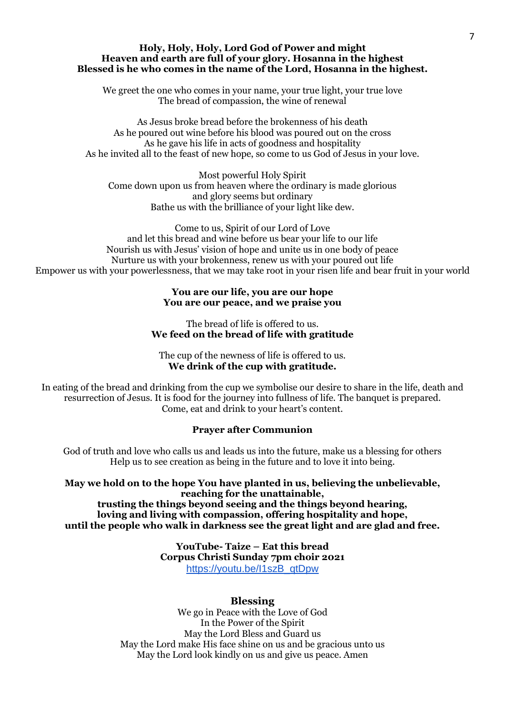#### **Holy, Holy, Holy, Lord God of Power and might Heaven and earth are full of your glory. Hosanna in the highest Blessed is he who comes in the name of the Lord, Hosanna in the highest.**

We greet the one who comes in your name, your true light, your true love The bread of compassion, the wine of renewal

As Jesus broke bread before the brokenness of his death As he poured out wine before his blood was poured out on the cross As he gave his life in acts of goodness and hospitality As he invited all to the feast of new hope, so come to us God of Jesus in your love.

Most powerful Holy Spirit Come down upon us from heaven where the ordinary is made glorious and glory seems but ordinary Bathe us with the brilliance of your light like dew.

Come to us, Spirit of our Lord of Love and let this bread and wine before us bear your life to our life Nourish us with Jesus' vision of hope and unite us in one body of peace Nurture us with your brokenness, renew us with your poured out life Empower us with your powerlessness, that we may take root in your risen life and bear fruit in your world

## **You are our life, you are our hope You are our peace, and we praise you**

The bread of life is offered to us. **We feed on the bread of life with gratitude**

The cup of the newness of life is offered to us. **We drink of the cup with gratitude.**

In eating of the bread and drinking from the cup we symbolise our desire to share in the life, death and resurrection of Jesus. It is food for the journey into fullness of life. The banquet is prepared. Come, eat and drink to your heart's content.

## **Prayer after Communion**

God of truth and love who calls us and leads us into the future, make us a blessing for others Help us to see creation as being in the future and to love it into being.

**May we hold on to the hope You have planted in us, believing the unbelievable, reaching for the unattainable,**

**trusting the things beyond seeing and the things beyond hearing, loving and living with compassion, offering hospitality and hope, until the people who walk in darkness see the great light and are glad and free.**

> **YouTube- Taize – Eat this bread Corpus Christi Sunday 7pm choir 2021** [https://youtu.be/I1szB\\_qtDpw](https://youtu.be/I1szB_qtDpw)

## **Blessing**

We go in Peace with the Love of God In the Power of the Spirit May the Lord Bless and Guard us May the Lord make His face shine on us and be gracious unto us May the Lord look kindly on us and give us peace. Amen